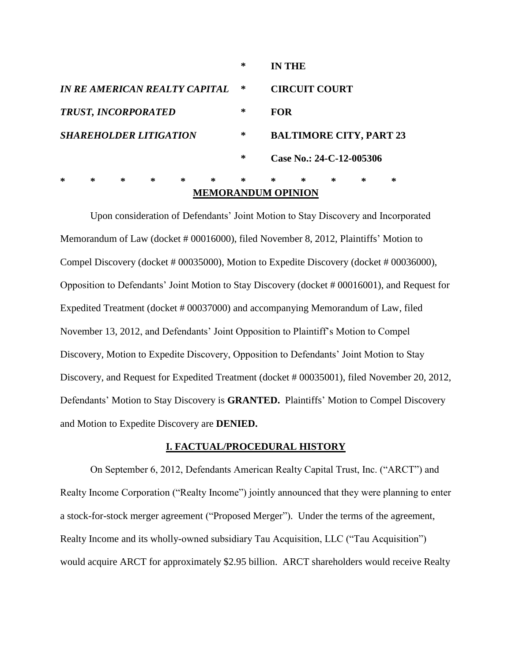|                                      |   |   |   |   | <b>MEMORANDUM OPINION</b> |        |   |                                |   |   |   |  |
|--------------------------------------|---|---|---|---|---------------------------|--------|---|--------------------------------|---|---|---|--|
| $\ast$                               | ∗ | ∗ | ∗ | ∗ | $\ast$                    | $\ast$ | ∗ | ∗                              | ∗ | ∗ | ∗ |  |
|                                      |   |   |   |   |                           | ∗      |   | Case No.: 24-C-12-005306       |   |   |   |  |
| <b>SHAREHOLDER LITIGATION</b>        |   |   |   |   |                           | ∗      |   | <b>BALTIMORE CITY, PART 23</b> |   |   |   |  |
| <b>TRUST, INCORPORATED</b>           |   |   |   |   |                           | ∗      |   | <b>FOR</b>                     |   |   |   |  |
| <i>IN RE AMERICAN REALTY CAPITAL</i> |   |   |   |   |                           | ∗      |   | <b>CIRCUIT COURT</b>           |   |   |   |  |
|                                      |   |   |   |   |                           | ∗      |   | <b>IN THE</b>                  |   |   |   |  |

Upon consideration of Defendants" Joint Motion to Stay Discovery and Incorporated Memorandum of Law (docket # 00016000), filed November 8, 2012, Plaintiffs' Motion to Compel Discovery (docket # 00035000), Motion to Expedite Discovery (docket # 00036000), Opposition to Defendants" Joint Motion to Stay Discovery (docket # 00016001), and Request for Expedited Treatment (docket # 00037000) and accompanying Memorandum of Law, filed November 13, 2012, and Defendants" Joint Opposition to Plaintiff"s Motion to Compel Discovery, Motion to Expedite Discovery, Opposition to Defendants" Joint Motion to Stay Discovery, and Request for Expedited Treatment (docket # 00035001), filed November 20, 2012, Defendants" Motion to Stay Discovery is **GRANTED.** Plaintiffs" Motion to Compel Discovery and Motion to Expedite Discovery are **DENIED.**

#### **I. FACTUAL/PROCEDURAL HISTORY**

On September 6, 2012, Defendants American Realty Capital Trust, Inc. ("ARCT") and Realty Income Corporation ("Realty Income") jointly announced that they were planning to enter a stock-for-stock merger agreement ("Proposed Merger"). Under the terms of the agreement, Realty Income and its wholly-owned subsidiary Tau Acquisition, LLC ("Tau Acquisition") would acquire ARCT for approximately \$2.95 billion. ARCT shareholders would receive Realty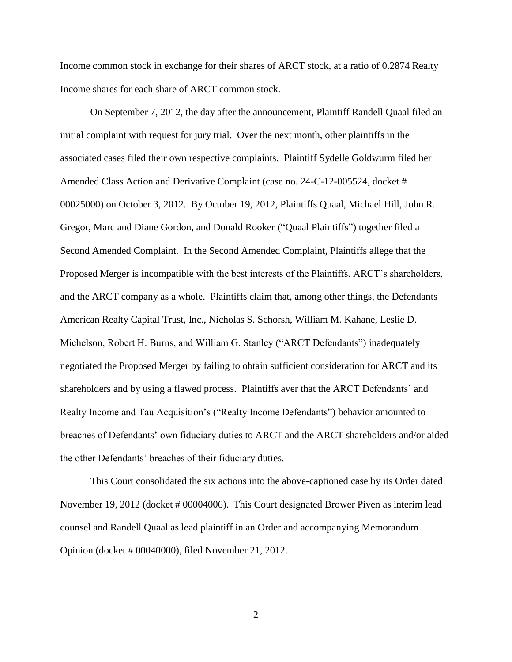Income common stock in exchange for their shares of ARCT stock, at a ratio of 0.2874 Realty Income shares for each share of ARCT common stock.

On September 7, 2012, the day after the announcement, Plaintiff Randell Quaal filed an initial complaint with request for jury trial. Over the next month, other plaintiffs in the associated cases filed their own respective complaints. Plaintiff Sydelle Goldwurm filed her Amended Class Action and Derivative Complaint (case no. 24-C-12-005524, docket # 00025000) on October 3, 2012. By October 19, 2012, Plaintiffs Quaal, Michael Hill, John R. Gregor, Marc and Diane Gordon, and Donald Rooker ("Quaal Plaintiffs") together filed a Second Amended Complaint. In the Second Amended Complaint, Plaintiffs allege that the Proposed Merger is incompatible with the best interests of the Plaintiffs, ARCT"s shareholders, and the ARCT company as a whole. Plaintiffs claim that, among other things, the Defendants American Realty Capital Trust, Inc., Nicholas S. Schorsh, William M. Kahane, Leslie D. Michelson, Robert H. Burns, and William G. Stanley ("ARCT Defendants") inadequately negotiated the Proposed Merger by failing to obtain sufficient consideration for ARCT and its shareholders and by using a flawed process. Plaintiffs aver that the ARCT Defendants' and Realty Income and Tau Acquisition"s ("Realty Income Defendants") behavior amounted to breaches of Defendants" own fiduciary duties to ARCT and the ARCT shareholders and/or aided the other Defendants" breaches of their fiduciary duties.

This Court consolidated the six actions into the above-captioned case by its Order dated November 19, 2012 (docket # 00004006). This Court designated Brower Piven as interim lead counsel and Randell Quaal as lead plaintiff in an Order and accompanying Memorandum Opinion (docket # 00040000), filed November 21, 2012.

2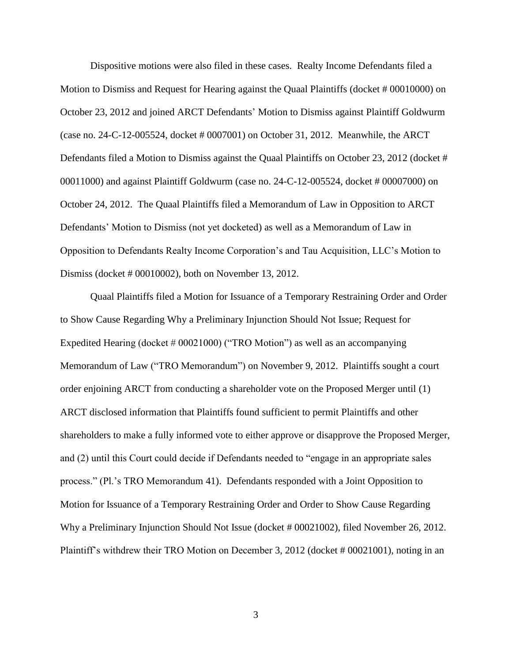Dispositive motions were also filed in these cases. Realty Income Defendants filed a Motion to Dismiss and Request for Hearing against the Quaal Plaintiffs (docket # 00010000) on October 23, 2012 and joined ARCT Defendants" Motion to Dismiss against Plaintiff Goldwurm (case no. 24-C-12-005524, docket # 0007001) on October 31, 2012. Meanwhile, the ARCT Defendants filed a Motion to Dismiss against the Quaal Plaintiffs on October 23, 2012 (docket # 00011000) and against Plaintiff Goldwurm (case no. 24-C-12-005524, docket # 00007000) on October 24, 2012. The Quaal Plaintiffs filed a Memorandum of Law in Opposition to ARCT Defendants" Motion to Dismiss (not yet docketed) as well as a Memorandum of Law in Opposition to Defendants Realty Income Corporation"s and Tau Acquisition, LLC"s Motion to Dismiss (docket # 00010002), both on November 13, 2012.

Quaal Plaintiffs filed a Motion for Issuance of a Temporary Restraining Order and Order to Show Cause Regarding Why a Preliminary Injunction Should Not Issue; Request for Expedited Hearing (docket # 00021000) ("TRO Motion") as well as an accompanying Memorandum of Law ("TRO Memorandum") on November 9, 2012. Plaintiffs sought a court order enjoining ARCT from conducting a shareholder vote on the Proposed Merger until (1) ARCT disclosed information that Plaintiffs found sufficient to permit Plaintiffs and other shareholders to make a fully informed vote to either approve or disapprove the Proposed Merger, and (2) until this Court could decide if Defendants needed to "engage in an appropriate sales process." (Pl."s TRO Memorandum 41). Defendants responded with a Joint Opposition to Motion for Issuance of a Temporary Restraining Order and Order to Show Cause Regarding Why a Preliminary Injunction Should Not Issue (docket # 00021002), filed November 26, 2012. Plaintiff's withdrew their TRO Motion on December 3, 2012 (docket # 00021001), noting in an

3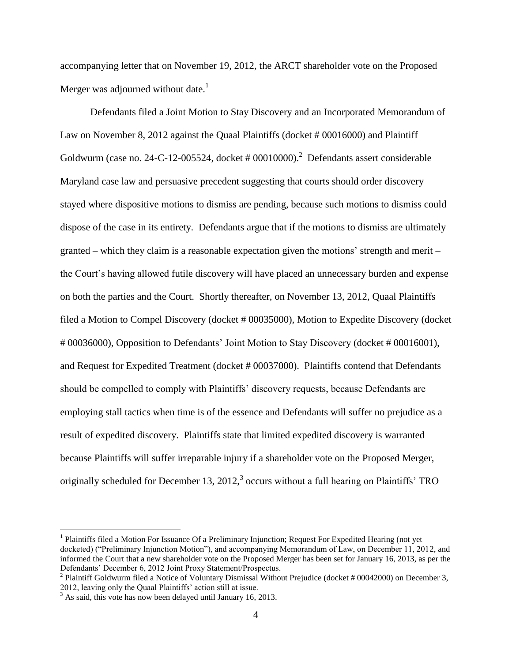accompanying letter that on November 19, 2012, the ARCT shareholder vote on the Proposed Merger was adjourned without date. $<sup>1</sup>$ </sup>

Defendants filed a Joint Motion to Stay Discovery and an Incorporated Memorandum of Law on November 8, 2012 against the Quaal Plaintiffs (docket # 00016000) and Plaintiff Goldwurm (case no. 24-C-12-005524, docket # 00010000).<sup>2</sup> Defendants assert considerable Maryland case law and persuasive precedent suggesting that courts should order discovery stayed where dispositive motions to dismiss are pending, because such motions to dismiss could dispose of the case in its entirety. Defendants argue that if the motions to dismiss are ultimately granted – which they claim is a reasonable expectation given the motions' strength and merit – the Court"s having allowed futile discovery will have placed an unnecessary burden and expense on both the parties and the Court. Shortly thereafter, on November 13, 2012, Quaal Plaintiffs filed a Motion to Compel Discovery (docket # 00035000), Motion to Expedite Discovery (docket # 00036000), Opposition to Defendants" Joint Motion to Stay Discovery (docket # 00016001), and Request for Expedited Treatment (docket # 00037000). Plaintiffs contend that Defendants should be compelled to comply with Plaintiffs' discovery requests, because Defendants are employing stall tactics when time is of the essence and Defendants will suffer no prejudice as a result of expedited discovery. Plaintiffs state that limited expedited discovery is warranted because Plaintiffs will suffer irreparable injury if a shareholder vote on the Proposed Merger, originally scheduled for December 13, 2012, $3$  occurs without a full hearing on Plaintiffs' TRO

<sup>&</sup>lt;sup>1</sup> Plaintiffs filed a Motion For Issuance Of a Preliminary Injunction; Request For Expedited Hearing (not yet docketed) ("Preliminary Injunction Motion"), and accompanying Memorandum of Law, on December 11, 2012, and informed the Court that a new shareholder vote on the Proposed Merger has been set for January 16, 2013, as per the Defendants" December 6, 2012 Joint Proxy Statement/Prospectus.

<sup>&</sup>lt;sup>2</sup> Plaintiff Goldwurm filed a Notice of Voluntary Dismissal Without Prejudice (docket # 00042000) on December 3, 2012, leaving only the Quaal Plaintiffs" action still at issue.

 $3$  As said, this vote has now been delayed until January 16, 2013.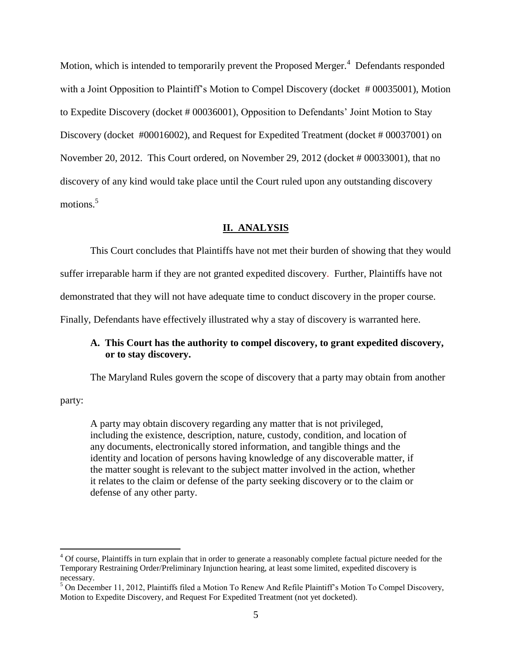Motion, which is intended to temporarily prevent the Proposed Merger.<sup>4</sup> Defendants responded with a Joint Opposition to Plaintiff's Motion to Compel Discovery (docket #00035001), Motion to Expedite Discovery (docket # 00036001), Opposition to Defendants" Joint Motion to Stay Discovery (docket #00016002), and Request for Expedited Treatment (docket # 00037001) on November 20, 2012. This Court ordered, on November 29, 2012 (docket # 00033001), that no discovery of any kind would take place until the Court ruled upon any outstanding discovery motions.<sup>5</sup>

## **II. ANALYSIS**

This Court concludes that Plaintiffs have not met their burden of showing that they would

suffer irreparable harm if they are not granted expedited discovery. Further, Plaintiffs have not

demonstrated that they will not have adequate time to conduct discovery in the proper course.

Finally, Defendants have effectively illustrated why a stay of discovery is warranted here.

# **A. This Court has the authority to compel discovery, to grant expedited discovery, or to stay discovery.**

The Maryland Rules govern the scope of discovery that a party may obtain from another

party:

 $\overline{a}$ 

A party may obtain discovery regarding any matter that is not privileged, including the existence, description, nature, custody, condition, and location of any documents, electronically stored information, and tangible things and the identity and location of persons having knowledge of any discoverable matter, if the matter sought is relevant to the subject matter involved in the action, whether it relates to the claim or defense of the party seeking discovery or to the claim or defense of any other party.

<sup>&</sup>lt;sup>4</sup> Of course, Plaintiffs in turn explain that in order to generate a reasonably complete factual picture needed for the Temporary Restraining Order/Preliminary Injunction hearing, at least some limited, expedited discovery is necessary.

<sup>&</sup>lt;sup>5</sup> On December 11, 2012, Plaintiffs filed a Motion To Renew And Refile Plaintiff's Motion To Compel Discovery, Motion to Expedite Discovery, and Request For Expedited Treatment (not yet docketed).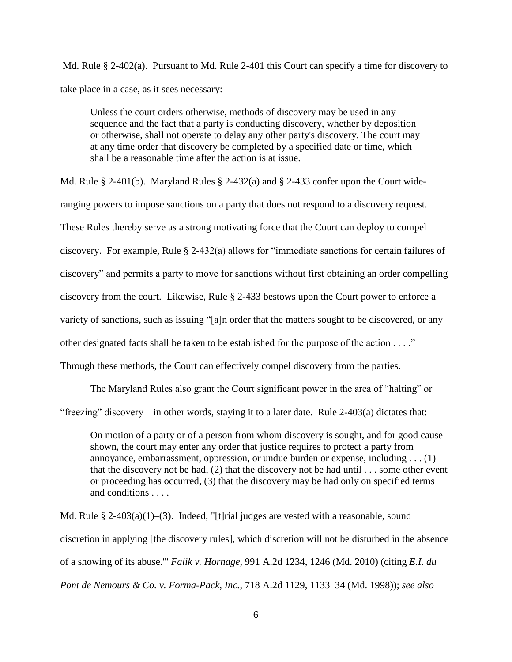Md. Rule  $\S$  2-402(a). Pursuant to Md. Rule 2-401 this Court can specify a time for discovery to take place in a case, as it sees necessary:

Unless the court orders otherwise, methods of discovery may be used in any sequence and the fact that a party is conducting discovery, whether by deposition or otherwise, shall not operate to delay any other party's discovery. The court may at any time order that discovery be completed by a specified date or time, which shall be a reasonable time after the action is at issue.

Md. Rule § 2-401(b). Maryland Rules § 2-432(a) and § 2-433 confer upon the Court wideranging powers to impose sanctions on a party that does not respond to a discovery request. These Rules thereby serve as a strong motivating force that the Court can deploy to compel discovery. For example, Rule § 2-432(a) allows for "immediate sanctions for certain failures of discovery" and permits a party to move for sanctions without first obtaining an order compelling discovery from the court. Likewise, Rule § 2-433 bestows upon the Court power to enforce a variety of sanctions, such as issuing "[a]n order that the matters sought to be discovered, or any other designated facts shall be taken to be established for the purpose of the action . . . ." Through these methods, the Court can effectively compel discovery from the parties.

The Maryland Rules also grant the Court significant power in the area of "halting" or "freezing" discovery – in other words, staying it to a later date. Rule 2-403(a) dictates that:

On motion of a party or of a person from whom discovery is sought, and for good cause shown, the court may enter any order that justice requires to protect a party from annoyance, embarrassment, oppression, or undue burden or expense, including . . . (1) that the discovery not be had,  $(2)$  that the discovery not be had until  $\ldots$  some other event or proceeding has occurred, (3) that the discovery may be had only on specified terms and conditions . . . .

Md. Rule  $\S 2-403(a)(1)-(3)$ . Indeed, "[t]rial judges are vested with a reasonable, sound discretion in applying [the discovery rules], which discretion will not be disturbed in the absence of a showing of its abuse.'" *Falik v. Hornage*, 991 A.2d 1234, 1246 (Md. 2010) (citing *E.I. du Pont de Nemours & Co. v. Forma-Pack, Inc.*, 718 A.2d 1129, 1133–34 (Md. 1998)); *see also* 

6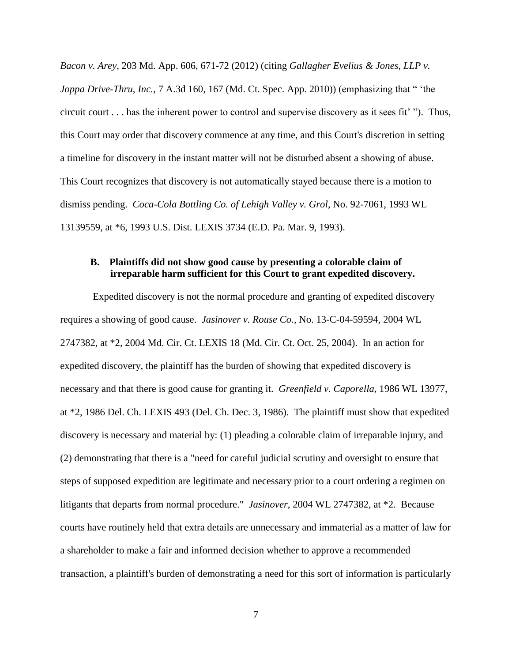*Bacon v. Arey*, 203 Md. App. 606, 671-72 (2012) (citing *Gallagher Evelius & Jones, LLP v. Joppa Drive-Thru, Inc., 7 A.3d 160, 167 (Md. Ct. Spec. App. 2010)) (emphasizing that " 'the* circuit court . . . has the inherent power to control and supervise discovery as it sees fit" "). Thus, this Court may order that discovery commence at any time, and this Court's discretion in setting a timeline for discovery in the instant matter will not be disturbed absent a showing of abuse. This Court recognizes that discovery is not automatically stayed because there is a motion to dismiss pending. *Coca-Cola Bottling Co. of Lehigh Valley v. Grol*, No. 92-7061, 1993 WL 13139559, at \*6, 1993 U.S. Dist. LEXIS 3734 (E.D. Pa. Mar. 9, 1993).

## **B. Plaintiffs did not show good cause by presenting a colorable claim of irreparable harm sufficient for this Court to grant expedited discovery.**

Expedited discovery is not the normal procedure and granting of expedited discovery requires a showing of good cause. *Jasinover v. Rouse Co.*, No. 13-C-04-59594, 2004 WL 2747382, at \*2, 2004 Md. Cir. Ct. LEXIS 18 (Md. Cir. Ct. Oct. 25, 2004). In an action for expedited discovery, the plaintiff has the burden of showing that expedited discovery is necessary and that there is good cause for granting it. *Greenfield v. Caporella*, 1986 WL 13977, at \*2, 1986 Del. Ch. LEXIS 493 (Del. Ch. Dec. 3, 1986). The plaintiff must show that expedited discovery is necessary and material by: (1) pleading a colorable claim of irreparable injury, and (2) demonstrating that there is a "need for careful judicial scrutiny and oversight to ensure that steps of supposed expedition are legitimate and necessary prior to a court ordering a regimen on litigants that departs from normal procedure." *Jasinover*, 2004 WL 2747382, at \*2. Because courts have routinely held that extra details are unnecessary and immaterial as a matter of law for a shareholder to make a fair and informed decision whether to approve a recommended transaction, a plaintiff's burden of demonstrating a need for this sort of information is particularly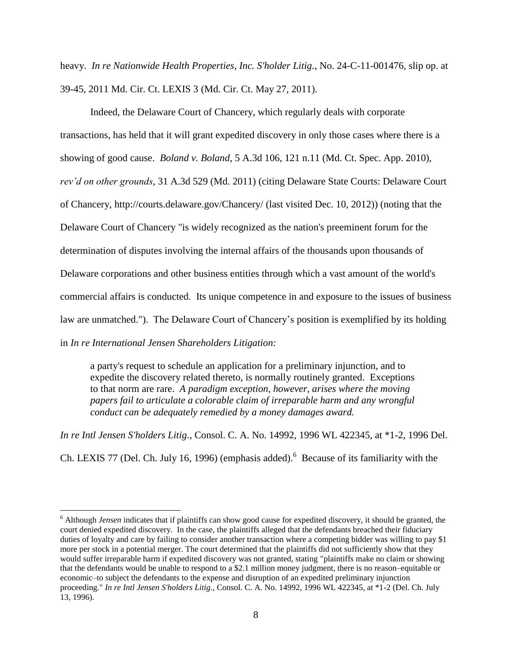heavy. *In re Nationwide Health Properties, Inc. S'holder Litig.*, No. 24-C-11-001476, slip op. at 39-45, 2011 Md. Cir. Ct. LEXIS 3 (Md. Cir. Ct. May 27, 2011).

Indeed, the Delaware Court of Chancery, which regularly deals with corporate transactions, has held that it will grant expedited discovery in only those cases where there is a showing of good cause. *Boland v. Boland*, 5 A.3d 106, 121 n.11 (Md. Ct. Spec. App. 2010), *rev'd on other grounds*, 31 A.3d 529 (Md. 2011) (citing Delaware State Courts: Delaware Court of Chancery, http://courts.delaware.gov/Chancery/ (last visited Dec. 10, 2012)) (noting that the Delaware Court of Chancery "is widely recognized as the nation's preeminent forum for the determination of disputes involving the internal affairs of the thousands upon thousands of Delaware corporations and other business entities through which a vast amount of the world's commercial affairs is conducted. Its unique competence in and exposure to the issues of business law are unmatched."). The Delaware Court of Chancery"s position is exemplified by its holding in *In re International Jensen Shareholders Litigation:*

a party's request to schedule an application for a preliminary injunction, and to expedite the discovery related thereto, is normally routinely granted. Exceptions to that norm are rare. *A paradigm exception, however, arises where the moving papers fail to articulate a colorable claim of irreparable harm and any wrongful conduct can be adequately remedied by a money damages award.*

*In re Intl Jensen S'holders Litig.*, Consol. C. A. No. 14992, 1996 WL 422345, at \*1-2, 1996 Del. Ch. LEXIS 77 (Del. Ch. July 16, 1996) (emphasis added).<sup>6</sup> Because of its familiarity with the

<sup>&</sup>lt;sup>6</sup> Although *Jensen* indicates that if plaintiffs can show good cause for expedited discovery, it should be granted, the court denied expedited discovery. In the case, the plaintiffs alleged that the defendants breached their fiduciary duties of loyalty and care by failing to consider another transaction where a competing bidder was willing to pay \$1 more per stock in a potential merger. The court determined that the plaintiffs did not sufficiently show that they would suffer irreparable harm if expedited discovery was not granted, stating "plaintiffs make no claim or showing that the defendants would be unable to respond to a \$2.1 million money judgment, there is no reason–equitable or economic–to subject the defendants to the expense and disruption of an expedited preliminary injunction proceeding." *In re Intl Jensen S'holders Litig.*, Consol. C. A. No. 14992, 1996 WL 422345, at \*1-2 (Del. Ch. July 13, 1996).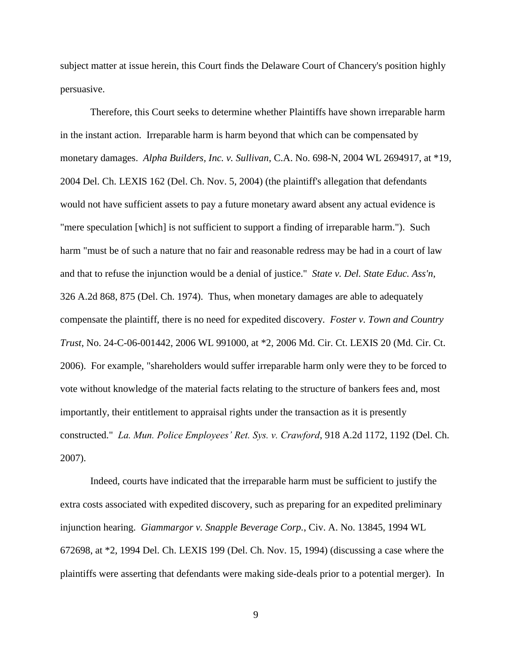subject matter at issue herein, this Court finds the Delaware Court of Chancery's position highly persuasive.

Therefore, this Court seeks to determine whether Plaintiffs have shown irreparable harm in the instant action. Irreparable harm is harm beyond that which can be compensated by monetary damages. *Alpha Builders, Inc. v. Sullivan*, C.A. No. 698-N, 2004 WL 2694917, at \*19, 2004 Del. Ch. LEXIS 162 (Del. Ch. Nov. 5, 2004) (the plaintiff's allegation that defendants would not have sufficient assets to pay a future monetary award absent any actual evidence is "mere speculation [which] is not sufficient to support a finding of irreparable harm."). Such harm "must be of such a nature that no fair and reasonable redress may be had in a court of law and that to refuse the injunction would be a denial of justice." *State v. Del. State Educ. Ass'n*, 326 A.2d 868, 875 (Del. Ch. 1974). Thus, when monetary damages are able to adequately compensate the plaintiff, there is no need for expedited discovery. *Foster v. Town and Country Trust*, No. 24-C-06-001442, 2006 WL 991000, at \*2, 2006 Md. Cir. Ct. LEXIS 20 (Md. Cir. Ct. 2006). For example, "shareholders would suffer irreparable harm only were they to be forced to vote without knowledge of the material facts relating to the structure of bankers fees and, most importantly, their entitlement to appraisal rights under the transaction as it is presently constructed." *La. Mun. Police Employees' Ret. Sys. v. Crawford*, 918 A.2d 1172, 1192 (Del. Ch. 2007).

Indeed, courts have indicated that the irreparable harm must be sufficient to justify the extra costs associated with expedited discovery, such as preparing for an expedited preliminary injunction hearing. *Giammargor v. Snapple Beverage Corp.*, Civ. A. No. 13845, 1994 WL 672698, at \*2, 1994 Del. Ch. LEXIS 199 (Del. Ch. Nov. 15, 1994) (discussing a case where the plaintiffs were asserting that defendants were making side-deals prior to a potential merger). In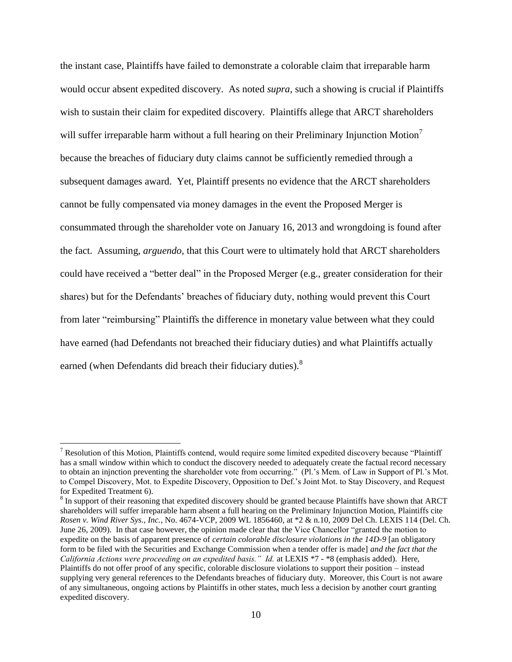the instant case, Plaintiffs have failed to demonstrate a colorable claim that irreparable harm would occur absent expedited discovery. As noted *supra,* such a showing is crucial if Plaintiffs wish to sustain their claim for expedited discovery. Plaintiffs allege that ARCT shareholders will suffer irreparable harm without a full hearing on their Preliminary Injunction Motion<sup>7</sup> because the breaches of fiduciary duty claims cannot be sufficiently remedied through a subsequent damages award. Yet, Plaintiff presents no evidence that the ARCT shareholders cannot be fully compensated via money damages in the event the Proposed Merger is consummated through the shareholder vote on January 16, 2013 and wrongdoing is found after the fact. Assuming, *arguendo,* that this Court were to ultimately hold that ARCT shareholders could have received a "better deal" in the Proposed Merger (e.g., greater consideration for their shares) but for the Defendants' breaches of fiduciary duty, nothing would prevent this Court from later "reimbursing" Plaintiffs the difference in monetary value between what they could have earned (had Defendants not breached their fiduciary duties) and what Plaintiffs actually earned (when Defendants did breach their fiduciary duties).<sup>8</sup>

 $<sup>7</sup>$  Resolution of this Motion, Plaintiffs contend, would require some limited expedited discovery because "Plaintiff"</sup> has a small window within which to conduct the discovery needed to adequately create the factual record necessary to obtain an injnction preventing the shareholder vote from occurring." (Pl.'s Mem. of Law in Support of Pl.'s Mot. to Compel Discovery, Mot. to Expedite Discovery, Opposition to Def."s Joint Mot. to Stay Discovery, and Request for Expedited Treatment 6).

<sup>&</sup>lt;sup>8</sup> In support of their reasoning that expedited discovery should be granted because Plaintiffs have shown that ARCT shareholders will suffer irreparable harm absent a full hearing on the Preliminary Injunction Motion, Plaintiffs cite *Rosen v. Wind River Sys., Inc.*, No. 4674-VCP, 2009 WL 1856460, at \*2 & n.10, 2009 Del Ch. LEXIS 114 (Del. Ch. June 26, 2009). In that case however, the opinion made clear that the Vice Chancellor "granted the motion to expedite on the basis of apparent presence of *certain colorable disclosure violations in the 14D-9* [an obligatory form to be filed with the Securities and Exchange Commission when a tender offer is made] *and the fact that the California Actions were proceeding on an expedited basis." Id.* at LEXIS \*7 - \*8 (emphasis added). Here, Plaintiffs do not offer proof of any specific, colorable disclosure violations to support their position – instead supplying very general references to the Defendants breaches of fiduciary duty. Moreover, this Court is not aware of any simultaneous, ongoing actions by Plaintiffs in other states, much less a decision by another court granting expedited discovery.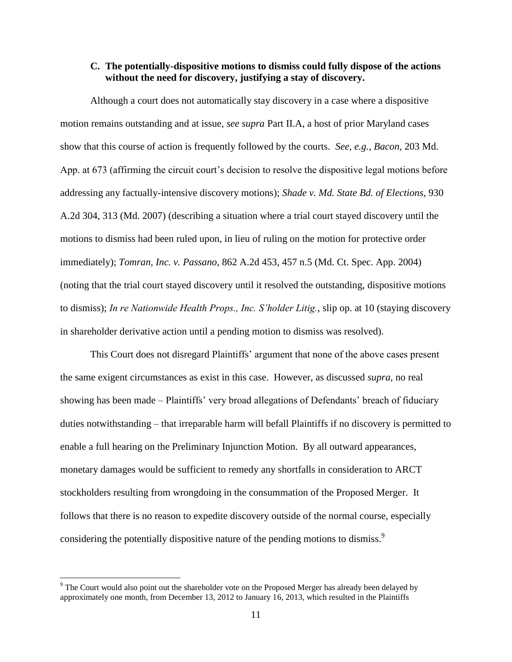#### **C. The potentially-dispositive motions to dismiss could fully dispose of the actions without the need for discovery, justifying a stay of discovery.**

Although a court does not automatically stay discovery in a case where a dispositive motion remains outstanding and at issue, *see supra* Part II.A, a host of prior Maryland cases show that this course of action is frequently followed by the courts. *See, e.g.*, *Bacon,* 203 Md. App. at 673 (affirming the circuit court's decision to resolve the dispositive legal motions before addressing any factually-intensive discovery motions); *Shade v. Md. State Bd. of Elections*, 930 A.2d 304, 313 (Md. 2007) (describing a situation where a trial court stayed discovery until the motions to dismiss had been ruled upon, in lieu of ruling on the motion for protective order immediately); *Tomran, Inc. v. Passano*, 862 A.2d 453, 457 n.5 (Md. Ct. Spec. App. 2004) (noting that the trial court stayed discovery until it resolved the outstanding, dispositive motions to dismiss); *In re Nationwide Health Props., Inc. S'holder Litig.*, slip op. at 10 (staying discovery in shareholder derivative action until a pending motion to dismiss was resolved).

This Court does not disregard Plaintiffs" argument that none of the above cases present the same exigent circumstances as exist in this case. However, as discussed *supra,* no real showing has been made – Plaintiffs' very broad allegations of Defendants' breach of fiduciary duties notwithstanding – that irreparable harm will befall Plaintiffs if no discovery is permitted to enable a full hearing on the Preliminary Injunction Motion. By all outward appearances, monetary damages would be sufficient to remedy any shortfalls in consideration to ARCT stockholders resulting from wrongdoing in the consummation of the Proposed Merger. It follows that there is no reason to expedite discovery outside of the normal course, especially considering the potentially dispositive nature of the pending motions to dismiss.<sup>9</sup>

<sup>&</sup>lt;sup>9</sup> The Court would also point out the shareholder vote on the Proposed Merger has already been delayed by approximately one month, from December 13, 2012 to January 16, 2013, which resulted in the Plaintiffs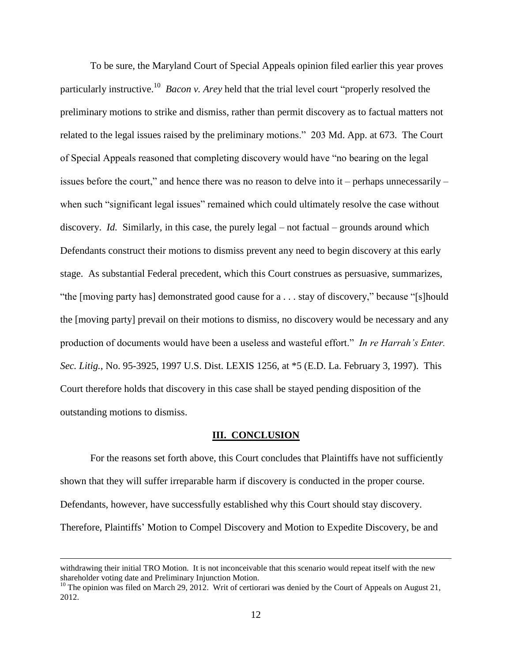To be sure, the Maryland Court of Special Appeals opinion filed earlier this year proves particularly instructive.<sup>10</sup> *Bacon v. Arey* held that the trial level court "properly resolved the preliminary motions to strike and dismiss, rather than permit discovery as to factual matters not related to the legal issues raised by the preliminary motions." 203 Md. App. at 673. The Court of Special Appeals reasoned that completing discovery would have "no bearing on the legal issues before the court," and hence there was no reason to delve into it – perhaps unnecessarily – when such "significant legal issues" remained which could ultimately resolve the case without discovery. *Id.* Similarly, in this case, the purely legal – not factual – grounds around which Defendants construct their motions to dismiss prevent any need to begin discovery at this early stage. As substantial Federal precedent, which this Court construes as persuasive, summarizes, "the [moving party has] demonstrated good cause for a . . . stay of discovery," because "[s]hould the [moving party] prevail on their motions to dismiss, no discovery would be necessary and any production of documents would have been a useless and wasteful effort." *In re Harrah's Enter. Sec. Litig.*, No. 95-3925, 1997 U.S. Dist. LEXIS 1256, at \*5 (E.D. La. February 3, 1997). This Court therefore holds that discovery in this case shall be stayed pending disposition of the outstanding motions to dismiss.

#### **III. CONCLUSION**

For the reasons set forth above, this Court concludes that Plaintiffs have not sufficiently shown that they will suffer irreparable harm if discovery is conducted in the proper course. Defendants, however, have successfully established why this Court should stay discovery. Therefore, Plaintiffs" Motion to Compel Discovery and Motion to Expedite Discovery, be and

withdrawing their initial TRO Motion. It is not inconceivable that this scenario would repeat itself with the new shareholder voting date and Preliminary Injunction Motion.

<sup>&</sup>lt;sup>10</sup> The opinion was filed on March 29, 2012. Writ of certiorari was denied by the Court of Appeals on August 21, 2012.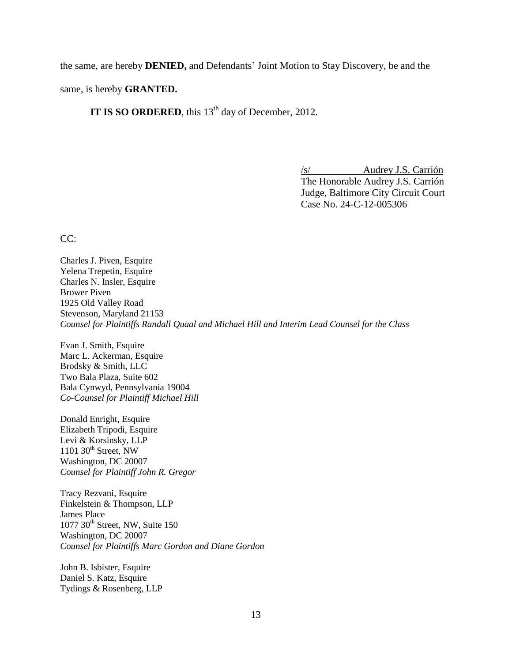the same, are hereby **DENIED,** and Defendants" Joint Motion to Stay Discovery, be and the

same, is hereby **GRANTED.**

**IT IS SO ORDERED**, this 13<sup>th</sup> day of December, 2012.

/s/ Audrey J.S. Carrión The Honorable Audrey J.S. Carrión Judge, Baltimore City Circuit Court Case No. 24-C-12-005306

CC:

Charles J. Piven, Esquire Yelena Trepetin, Esquire Charles N. Insler, Esquire Brower Piven 1925 Old Valley Road Stevenson, Maryland 21153 *Counsel for Plaintiffs Randall Quaal and Michael Hill and Interim Lead Counsel for the Class*

Evan J. Smith, Esquire Marc L. Ackerman, Esquire Brodsky & Smith, LLC Two Bala Plaza, Suite 602 Bala Cynwyd, Pennsylvania 19004 *Co-Counsel for Plaintiff Michael Hill*

Donald Enright, Esquire Elizabeth Tripodi, Esquire Levi & Korsinsky, LLP 1101  $30<sup>th</sup>$  Street, NW Washington, DC 20007 *Counsel for Plaintiff John R. Gregor*

Tracy Rezvani, Esquire Finkelstein & Thompson, LLP James Place  $1077$   $30<sup>th</sup>$  Street, NW, Suite 150 Washington, DC 20007 *Counsel for Plaintiffs Marc Gordon and Diane Gordon*

John B. Isbister, Esquire Daniel S. Katz, Esquire Tydings & Rosenberg, LLP